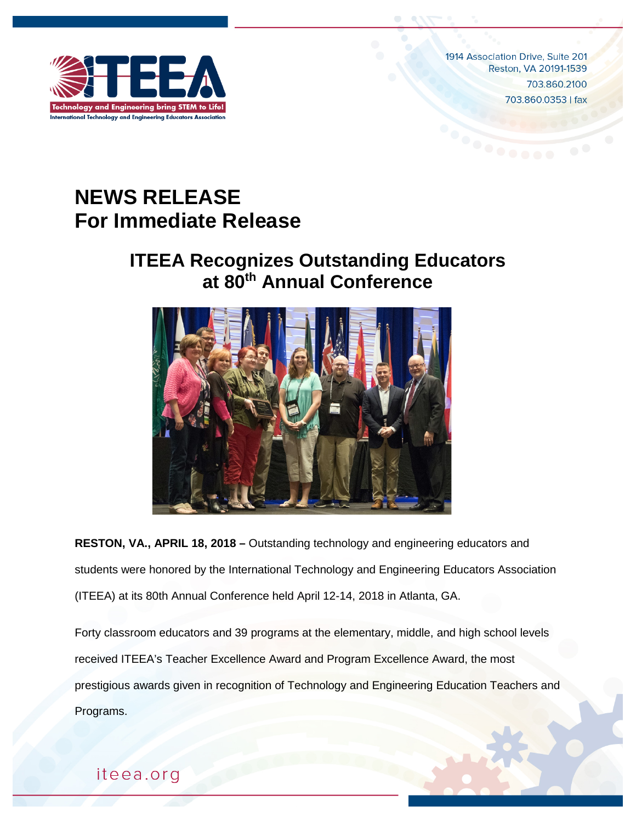

1914 Association Drive, Suite 201 Reston, VA 20191-1539 703.860.2100 703.860.0353 | fax

## **NEWS RELEASE For Immediate Release**

## **ITEEA Recognizes Outstanding Educators at 80th Annual Conference**



**RESTON, VA., APRIL 18, 2018 –** Outstanding technology and engineering educators and students were honored by the International Technology and Engineering Educators Association (ITEEA) at its 80th Annual Conference held April 12-14, 2018 in Atlanta, GA.

Forty classroom educators and 39 programs at the elementary, middle, and high school levels received ITEEA's Teacher Excellence Award and Program Excellence Award, the most prestigious awards given in recognition of Technology and Engineering Education Teachers and Programs.

iteea.org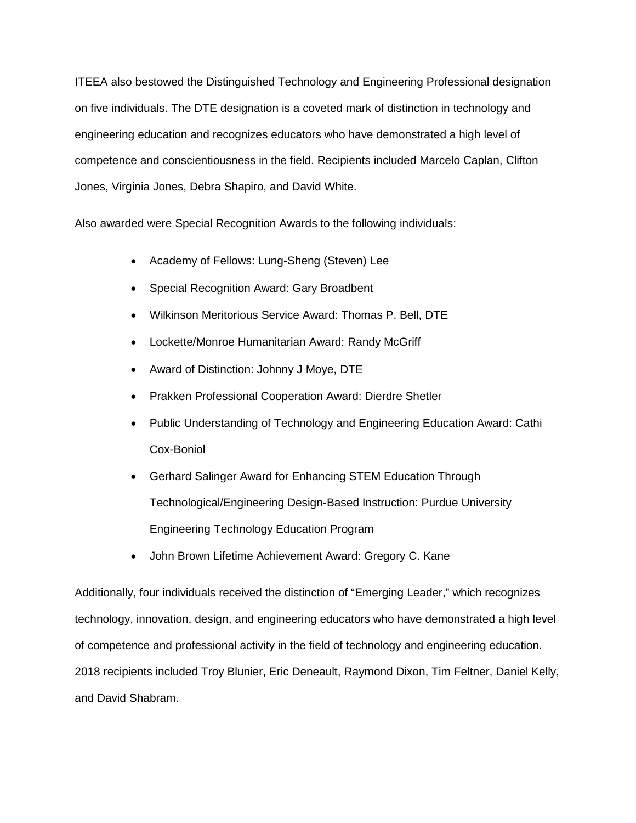ITEEA also bestowed the Distinguished Technology and Engineering Professional designation on five individuals. The DTE designation is a coveted mark of distinction in technology and engineering education and recognizes educators who have demonstrated a high level of competence and conscientiousness in the field. Recipients included Marcelo Caplan, Clifton Jones, Virginia Jones, Debra Shapiro, and David White.

Also awarded were Special Recognition Awards to the following individuals:

- Academy of Fellows: Lung-Sheng (Steven) Lee
- Special Recognition Award: Gary Broadbent
- Wilkinson Meritorious Service Award: Thomas P. Bell, DTE
- Lockette/Monroe Humanitarian Award: Randy McGriff
- Award of Distinction: Johnny J Moye, DTE
- Prakken Professional Cooperation Award: Dierdre Shetler
- Public Understanding of Technology and Engineering Education Award: Cathi Cox-Boniol
- Gerhard Salinger Award for Enhancing STEM Education Through Technological/Engineering Design-Based Instruction: Purdue University Engineering Technology Education Program
- John Brown Lifetime Achievement Award: Gregory C. Kane

Additionally, four individuals received the distinction of "Emerging Leader," which recognizes technology, innovation, design, and engineering educators who have demonstrated a high level of competence and professional activity in the field of technology and engineering education. 2018 recipients included Troy Blunier, Eric Deneault, Raymond Dixon, Tim Feltner, Daniel Kelly, and David Shabram.